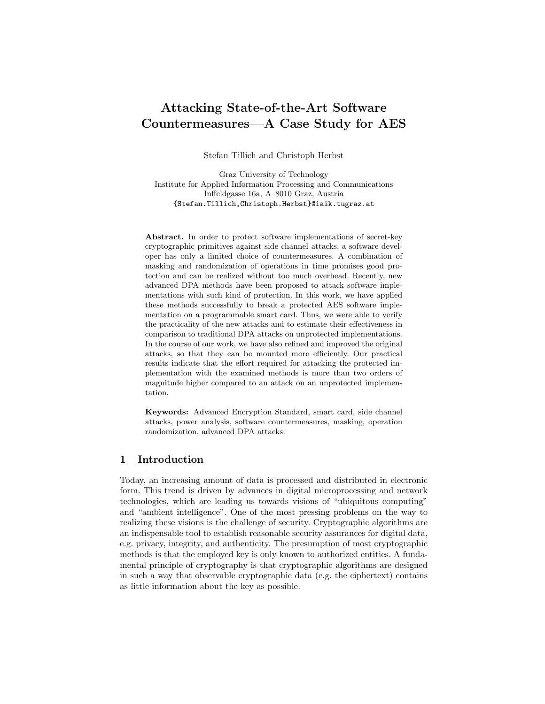# Attacking State-of-the-Art Software Countermeasures—A Case Study for AES

Stefan Tillich and Christoph Herbst

Graz University of Technology Institute for Applied Information Processing and Communications Inffeldgasse 16a, A–8010 Graz, Austria {Stefan.Tillich,Christoph.Herbst}@iaik.tugraz.at

Abstract. In order to protect software implementations of secret-key cryptographic primitives against side channel attacks, a software developer has only a limited choice of countermeasures. A combination of masking and randomization of operations in time promises good protection and can be realized without too much overhead. Recently, new advanced DPA methods have been proposed to attack software implementations with such kind of protection. In this work, we have applied these methods successfully to break a protected AES software implementation on a programmable smart card. Thus, we were able to verify the practicality of the new attacks and to estimate their effectiveness in comparison to traditional DPA attacks on unprotected implementations. In the course of our work, we have also refined and improved the original attacks, so that they can be mounted more efficiently. Our practical results indicate that the effort required for attacking the protected implementation with the examined methods is more than two orders of magnitude higher compared to an attack on an unprotected implementation.

Keywords: Advanced Encryption Standard, smart card, side channel attacks, power analysis, software countermeasures, masking, operation randomization, advanced DPA attacks.

# 1 Introduction

Today, an increasing amount of data is processed and distributed in electronic form. This trend is driven by advances in digital microprocessing and network technologies, which are leading us towards visions of "ubiquitous computing" and "ambient intelligence". One of the most pressing problems on the way to realizing these visions is the challenge of security. Cryptographic algorithms are an indispensable tool to establish reasonable security assurances for digital data, e.g. privacy, integrity, and authenticity. The presumption of most cryptographic methods is that the employed key is only known to authorized entities. A fundamental principle of cryptography is that cryptographic algorithms are designed in such a way that observable cryptographic data (e.g. the ciphertext) contains as little information about the key as possible.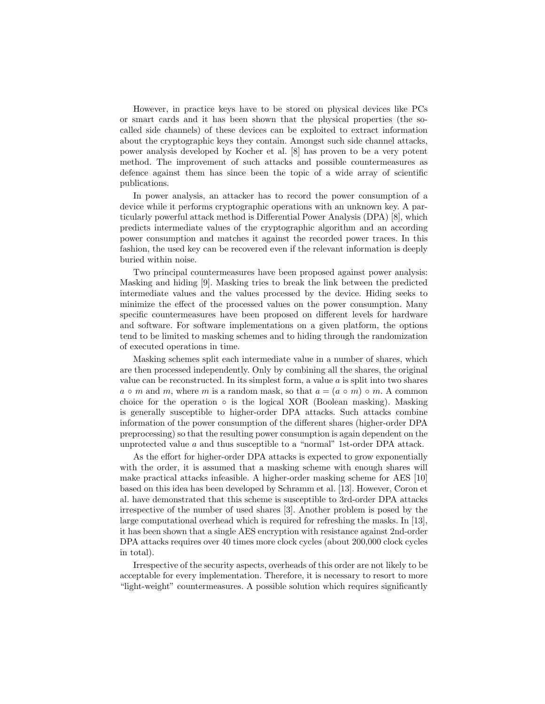However, in practice keys have to be stored on physical devices like PCs or smart cards and it has been shown that the physical properties (the socalled side channels) of these devices can be exploited to extract information about the cryptographic keys they contain. Amongst such side channel attacks, power analysis developed by Kocher et al. [8] has proven to be a very potent method. The improvement of such attacks and possible countermeasures as defence against them has since been the topic of a wide array of scientific publications.

In power analysis, an attacker has to record the power consumption of a device while it performs cryptographic operations with an unknown key. A particularly powerful attack method is Differential Power Analysis (DPA) [8], which predicts intermediate values of the cryptographic algorithm and an according power consumption and matches it against the recorded power traces. In this fashion, the used key can be recovered even if the relevant information is deeply buried within noise.

Two principal countermeasures have been proposed against power analysis: Masking and hiding [9]. Masking tries to break the link between the predicted intermediate values and the values processed by the device. Hiding seeks to minimize the effect of the processed values on the power consumption. Many specific countermeasures have been proposed on different levels for hardware and software. For software implementations on a given platform, the options tend to be limited to masking schemes and to hiding through the randomization of executed operations in time.

Masking schemes split each intermediate value in a number of shares, which are then processed independently. Only by combining all the shares, the original value can be reconstructed. In its simplest form, a value  $a$  is split into two shares  $a \circ m$  and m, where m is a random mask, so that  $a = (a \circ m) \circ m$ . A common choice for the operation  $\circ$  is the logical XOR (Boolean masking). Masking is generally susceptible to higher-order DPA attacks. Such attacks combine information of the power consumption of the different shares (higher-order DPA preprocessing) so that the resulting power consumption is again dependent on the unprotected value  $a$  and thus susceptible to a "normal" 1st-order DPA attack.

As the effort for higher-order DPA attacks is expected to grow exponentially with the order, it is assumed that a masking scheme with enough shares will make practical attacks infeasible. A higher-order masking scheme for AES [10] based on this idea has been developed by Schramm et al. [13]. However, Coron et al. have demonstrated that this scheme is susceptible to 3rd-order DPA attacks irrespective of the number of used shares [3]. Another problem is posed by the large computational overhead which is required for refreshing the masks. In [13], it has been shown that a single AES encryption with resistance against 2nd-order DPA attacks requires over 40 times more clock cycles (about 200,000 clock cycles in total).

Irrespective of the security aspects, overheads of this order are not likely to be acceptable for every implementation. Therefore, it is necessary to resort to more "light-weight" countermeasures. A possible solution which requires significantly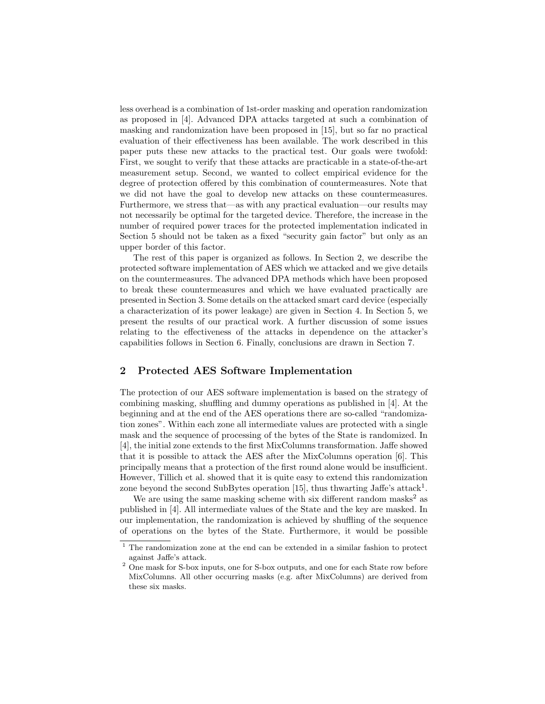less overhead is a combination of 1st-order masking and operation randomization as proposed in [4]. Advanced DPA attacks targeted at such a combination of masking and randomization have been proposed in [15], but so far no practical evaluation of their effectiveness has been available. The work described in this paper puts these new attacks to the practical test. Our goals were twofold: First, we sought to verify that these attacks are practicable in a state-of-the-art measurement setup. Second, we wanted to collect empirical evidence for the degree of protection offered by this combination of countermeasures. Note that we did not have the goal to develop new attacks on these countermeasures. Furthermore, we stress that—as with any practical evaluation—our results may not necessarily be optimal for the targeted device. Therefore, the increase in the number of required power traces for the protected implementation indicated in Section 5 should not be taken as a fixed "security gain factor" but only as an upper border of this factor.

The rest of this paper is organized as follows. In Section 2, we describe the protected software implementation of AES which we attacked and we give details on the countermeasures. The advanced DPA methods which have been proposed to break these countermeasures and which we have evaluated practically are presented in Section 3. Some details on the attacked smart card device (especially a characterization of its power leakage) are given in Section 4. In Section 5, we present the results of our practical work. A further discussion of some issues relating to the effectiveness of the attacks in dependence on the attacker's capabilities follows in Section 6. Finally, conclusions are drawn in Section 7.

#### 2 Protected AES Software Implementation

The protection of our AES software implementation is based on the strategy of combining masking, shuffling and dummy operations as published in [4]. At the beginning and at the end of the AES operations there are so-called "randomization zones". Within each zone all intermediate values are protected with a single mask and the sequence of processing of the bytes of the State is randomized. In [4], the initial zone extends to the first MixColumns transformation. Jaffe showed that it is possible to attack the AES after the MixColumns operation [6]. This principally means that a protection of the first round alone would be insufficient. However, Tillich et al. showed that it is quite easy to extend this randomization zone beyond the second SubBytes operation [15], thus thwarting Jaffe's attack<sup>1</sup>.

We are using the same masking scheme with six different random masks<sup>2</sup> as published in [4]. All intermediate values of the State and the key are masked. In our implementation, the randomization is achieved by shuffling of the sequence of operations on the bytes of the State. Furthermore, it would be possible

<sup>&</sup>lt;sup>1</sup> The randomization zone at the end can be extended in a similar fashion to protect against Jaffe's attack.

<sup>2</sup> One mask for S-box inputs, one for S-box outputs, and one for each State row before MixColumns. All other occurring masks (e.g. after MixColumns) are derived from these six masks.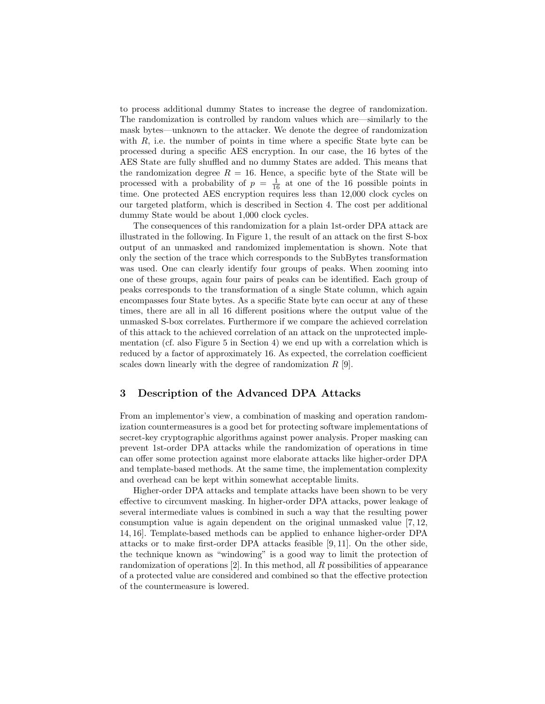to process additional dummy States to increase the degree of randomization. The randomization is controlled by random values which are—similarly to the mask bytes—unknown to the attacker. We denote the degree of randomization with  $R$ , i.e. the number of points in time where a specific State byte can be processed during a specific AES encryption. In our case, the 16 bytes of the AES State are fully shuffled and no dummy States are added. This means that the randomization degree  $R = 16$ . Hence, a specific byte of the State will be processed with a probability of  $p = \frac{1}{16}$  at one of the 16 possible points in time. One protected AES encryption requires less than 12,000 clock cycles on our targeted platform, which is described in Section 4. The cost per additional dummy State would be about 1,000 clock cycles.

The consequences of this randomization for a plain 1st-order DPA attack are illustrated in the following. In Figure 1, the result of an attack on the first S-box output of an unmasked and randomized implementation is shown. Note that only the section of the trace which corresponds to the SubBytes transformation was used. One can clearly identify four groups of peaks. When zooming into one of these groups, again four pairs of peaks can be identified. Each group of peaks corresponds to the transformation of a single State column, which again encompasses four State bytes. As a specific State byte can occur at any of these times, there are all in all 16 different positions where the output value of the unmasked S-box correlates. Furthermore if we compare the achieved correlation of this attack to the achieved correlation of an attack on the unprotected implementation (cf. also Figure 5 in Section 4) we end up with a correlation which is reduced by a factor of approximately 16. As expected, the correlation coefficient scales down linearly with the degree of randomization  $R$  [9].

# 3 Description of the Advanced DPA Attacks

From an implementor's view, a combination of masking and operation randomization countermeasures is a good bet for protecting software implementations of secret-key cryptographic algorithms against power analysis. Proper masking can prevent 1st-order DPA attacks while the randomization of operations in time can offer some protection against more elaborate attacks like higher-order DPA and template-based methods. At the same time, the implementation complexity and overhead can be kept within somewhat acceptable limits.

Higher-order DPA attacks and template attacks have been shown to be very effective to circumvent masking. In higher-order DPA attacks, power leakage of several intermediate values is combined in such a way that the resulting power consumption value is again dependent on the original unmasked value [7, 12, 14, 16]. Template-based methods can be applied to enhance higher-order DPA attacks or to make first-order DPA attacks feasible [9, 11]. On the other side, the technique known as "windowing" is a good way to limit the protection of randomization of operations [2]. In this method, all R possibilities of appearance of a protected value are considered and combined so that the effective protection of the countermeasure is lowered.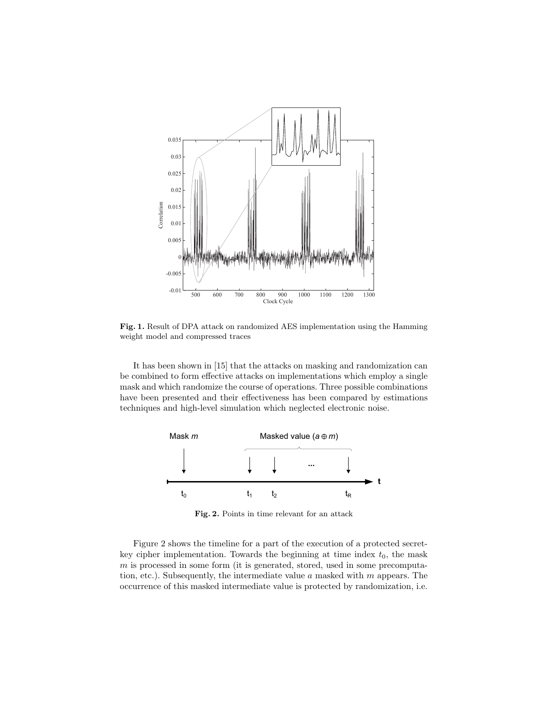

Fig. 1. Result of DPA attack on randomized AES implementation using the Hamming weight model and compressed traces

It has been shown in [15] that the attacks on masking and randomization can be combined to form effective attacks on implementations which employ a single mask and which randomize the course of operations. Three possible combinations have been presented and their effectiveness has been compared by estimations techniques and high-level simulation which neglected electronic noise.



Fig. 2. Points in time relevant for an attack

Figure 2 shows the timeline for a part of the execution of a protected secretkey cipher implementation. Towards the beginning at time index  $t_0$ , the mask m is processed in some form (it is generated, stored, used in some precomputation, etc.). Subsequently, the intermediate value  $a$  masked with  $m$  appears. The occurrence of this masked intermediate value is protected by randomization, i.e.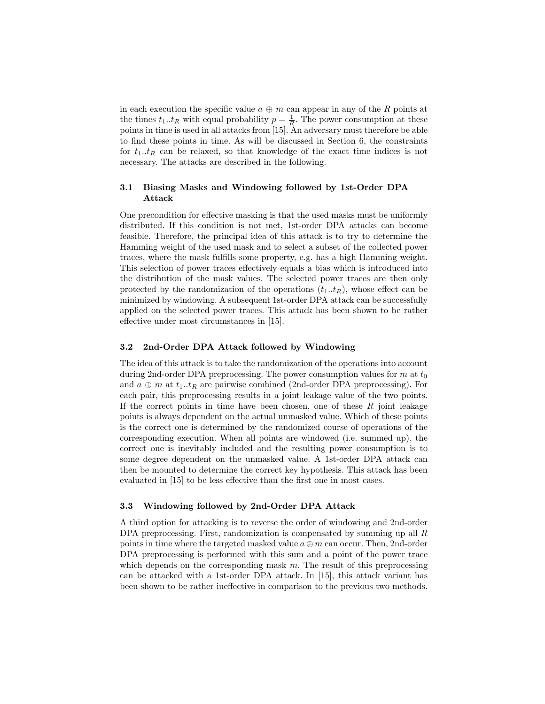in each execution the specific value  $a \oplus m$  can appear in any of the R points at the times  $t_1..t_R$  with equal probability  $p = \frac{1}{R}$ . The power consumption at these points in time is used in all attacks from [15]. An adversary must therefore be able to find these points in time. As will be discussed in Section 6, the constraints for  $t_1..t_R$  can be relaxed, so that knowledge of the exact time indices is not necessary. The attacks are described in the following.

## 3.1 Biasing Masks and Windowing followed by 1st-Order DPA Attack

One precondition for effective masking is that the used masks must be uniformly distributed. If this condition is not met, 1st-order DPA attacks can become feasible. Therefore, the principal idea of this attack is to try to determine the Hamming weight of the used mask and to select a subset of the collected power traces, where the mask fulfills some property, e.g. has a high Hamming weight. This selection of power traces effectively equals a bias which is introduced into the distribution of the mask values. The selected power traces are then only protected by the randomization of the operations  $(t_1..t_R)$ , whose effect can be minimized by windowing. A subsequent 1st-order DPA attack can be successfully applied on the selected power traces. This attack has been shown to be rather effective under most circumstances in [15].

#### 3.2 2nd-Order DPA Attack followed by Windowing

The idea of this attack is to take the randomization of the operations into account during 2nd-order DPA preprocessing. The power consumption values for  $m$  at  $t_0$ and  $a \oplus m$  at  $t_1..t_R$  are pairwise combined (2nd-order DPA preprocessing). For each pair, this preprocessing results in a joint leakage value of the two points. If the correct points in time have been chosen, one of these  $R$  joint leakage points is always dependent on the actual unmasked value. Which of these points is the correct one is determined by the randomized course of operations of the corresponding execution. When all points are windowed (i.e. summed up), the correct one is inevitably included and the resulting power consumption is to some degree dependent on the unmasked value. A 1st-order DPA attack can then be mounted to determine the correct key hypothesis. This attack has been evaluated in [15] to be less effective than the first one in most cases.

#### 3.3 Windowing followed by 2nd-Order DPA Attack

A third option for attacking is to reverse the order of windowing and 2nd-order DPA preprocessing. First, randomization is compensated by summing up all  $R$ points in time where the targeted masked value  $a \oplus m$  can occur. Then, 2nd-order DPA preprocessing is performed with this sum and a point of the power trace which depends on the corresponding mask  $m$ . The result of this preprocessing can be attacked with a 1st-order DPA attack. In [15], this attack variant has been shown to be rather ineffective in comparison to the previous two methods.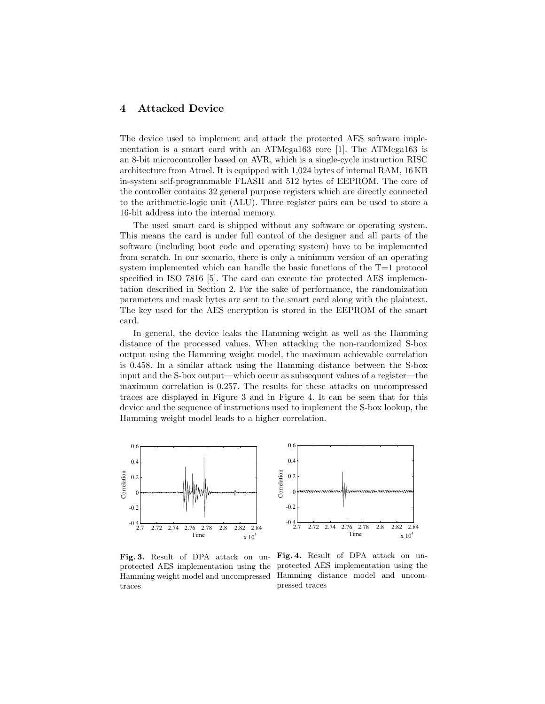## 4 Attacked Device

The device used to implement and attack the protected AES software implementation is a smart card with an ATMega163 core [1]. The ATMega163 is an 8-bit microcontroller based on AVR, which is a single-cycle instruction RISC architecture from Atmel. It is equipped with 1,024 bytes of internal RAM, 16 KB in-system self-programmable FLASH and 512 bytes of EEPROM. The core of the controller contains 32 general purpose registers which are directly connected to the arithmetic-logic unit (ALU). Three register pairs can be used to store a 16-bit address into the internal memory.

The used smart card is shipped without any software or operating system. This means the card is under full control of the designer and all parts of the software (including boot code and operating system) have to be implemented from scratch. In our scenario, there is only a minimum version of an operating system implemented which can handle the basic functions of the  $T=1$  protocol specified in ISO 7816 [5]. The card can execute the protected AES implementation described in Section 2. For the sake of performance, the randomization parameters and mask bytes are sent to the smart card along with the plaintext. The key used for the AES encryption is stored in the EEPROM of the smart card.

In general, the device leaks the Hamming weight as well as the Hamming distance of the processed values. When attacking the non-randomized S-box output using the Hamming weight model, the maximum achievable correlation is 0.458. In a similar attack using the Hamming distance between the S-box input and the S-box output—which occur as subsequent values of a register—the maximum correlation is 0.257. The results for these attacks on uncompressed traces are displayed in Figure 3 and in Figure 4. It can be seen that for this device and the sequence of instructions used to implement the S-box lookup, the Hamming weight model leads to a higher correlation.



Fig. 3. Result of DPA attack on unprotected AES implementation using the Hamming weight model and uncompressed traces

Fig. 4. Result of DPA attack on unprotected AES implementation using the Hamming distance model and uncompressed traces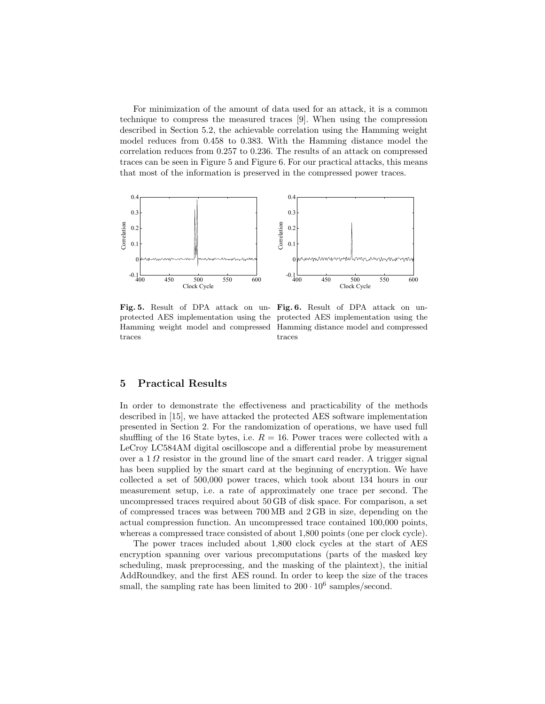For minimization of the amount of data used for an attack, it is a common technique to compress the measured traces [9]. When using the compression described in Section 5.2, the achievable correlation using the Hamming weight model reduces from 0.458 to 0.383. With the Hamming distance model the correlation reduces from 0.257 to 0.236. The results of an attack on compressed traces can be seen in Figure 5 and Figure 6. For our practical attacks, this means that most of the information is preserved in the compressed power traces.



protected AES implementation using the Hamming weight model and compressed traces

Fig. 5. Result of DPA attack on un- Fig. 6. Result of DPA attack on unprotected AES implementation using the Hamming distance model and compressed traces

## 5 Practical Results

In order to demonstrate the effectiveness and practicability of the methods described in [15], we have attacked the protected AES software implementation presented in Section 2. For the randomization of operations, we have used full shuffling of the 16 State bytes, i.e.  $R = 16$ . Power traces were collected with a LeCroy LC584AM digital oscilloscope and a differential probe by measurement over a  $1 \Omega$  resistor in the ground line of the smart card reader. A trigger signal has been supplied by the smart card at the beginning of encryption. We have collected a set of 500,000 power traces, which took about 134 hours in our measurement setup, i.e. a rate of approximately one trace per second. The uncompressed traces required about 50 GB of disk space. For comparison, a set of compressed traces was between 700 MB and 2 GB in size, depending on the actual compression function. An uncompressed trace contained 100,000 points, whereas a compressed trace consisted of about 1,800 points (one per clock cycle).

The power traces included about 1,800 clock cycles at the start of AES encryption spanning over various precomputations (parts of the masked key scheduling, mask preprocessing, and the masking of the plaintext), the initial AddRoundkey, and the first AES round. In order to keep the size of the traces small, the sampling rate has been limited to  $200 \cdot 10^6$  samples/second.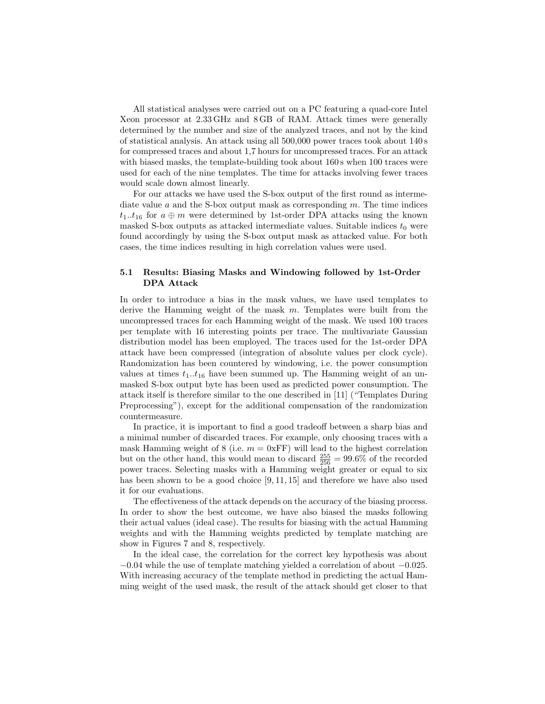All statistical analyses were carried out on a PC featuring a quad-core Intel Xeon processor at 2.33 GHz and 8 GB of RAM. Attack times were generally determined by the number and size of the analyzed traces, and not by the kind of statistical analysis. An attack using all 500,000 power traces took about 140 s for compressed traces and about 1,7 hours for uncompressed traces. For an attack with biased masks, the template-building took about 160s when 100 traces were used for each of the nine templates. The time for attacks involving fewer traces would scale down almost linearly.

For our attacks we have used the S-box output of the first round as intermediate value  $a$  and the S-box output mask as corresponding  $m$ . The time indices  $t_1...t_{16}$  for  $a \oplus m$  were determined by 1st-order DPA attacks using the known masked S-box outputs as attacked intermediate values. Suitable indices  $t_0$  were found accordingly by using the S-box output mask as attacked value. For both cases, the time indices resulting in high correlation values were used.

## 5.1 Results: Biasing Masks and Windowing followed by 1st-Order DPA Attack

In order to introduce a bias in the mask values, we have used templates to derive the Hamming weight of the mask  $m$ . Templates were built from the uncompressed traces for each Hamming weight of the mask. We used 100 traces per template with 16 interesting points per trace. The multivariate Gaussian distribution model has been employed. The traces used for the 1st-order DPA attack have been compressed (integration of absolute values per clock cycle). Randomization has been countered by windowing, i.e. the power consumption values at times  $t_1..t_{16}$  have been summed up. The Hamming weight of an unmasked S-box output byte has been used as predicted power consumption. The attack itself is therefore similar to the one described in [11] ("Templates During Preprocessing"), except for the additional compensation of the randomization countermeasure.

In practice, it is important to find a good tradeoff between a sharp bias and a minimal number of discarded traces. For example, only choosing traces with a mask Hamming weight of 8 (i.e.  $m = 0xFF$ ) will lead to the highest correlation but on the other hand, this would mean to discard  $\frac{255}{256} = 99.6\%$  of the recorded power traces. Selecting masks with a Hamming weight greater or equal to six has been shown to be a good choice [9, 11, 15] and therefore we have also used it for our evaluations.

The effectiveness of the attack depends on the accuracy of the biasing process. In order to show the best outcome, we have also biased the masks following their actual values (ideal case). The results for biasing with the actual Hamming weights and with the Hamming weights predicted by template matching are show in Figures 7 and 8, respectively.

In the ideal case, the correlation for the correct key hypothesis was about  $-0.04$  while the use of template matching yielded a correlation of about  $-0.025$ . With increasing accuracy of the template method in predicting the actual Hamming weight of the used mask, the result of the attack should get closer to that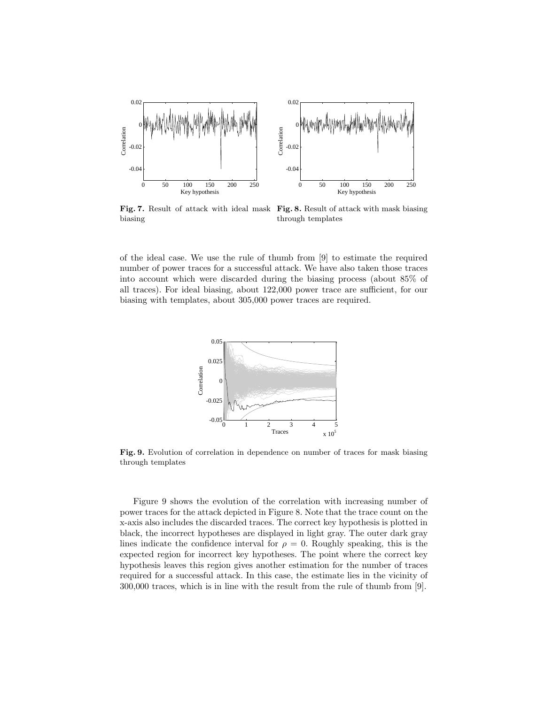

biasing

Fig. 7. Result of attack with ideal mask Fig. 8. Result of attack with mask biasing through templates

of the ideal case. We use the rule of thumb from [9] to estimate the required number of power traces for a successful attack. We have also taken those traces into account which were discarded during the biasing process (about 85% of all traces). For ideal biasing, about 122,000 power trace are sufficient, for our biasing with templates, about 305,000 power traces are required.



Fig. 9. Evolution of correlation in dependence on number of traces for mask biasing through templates

Figure 9 shows the evolution of the correlation with increasing number of power traces for the attack depicted in Figure 8. Note that the trace count on the x-axis also includes the discarded traces. The correct key hypothesis is plotted in black, the incorrect hypotheses are displayed in light gray. The outer dark gray lines indicate the confidence interval for  $\rho = 0$ . Roughly speaking, this is the expected region for incorrect key hypotheses. The point where the correct key hypothesis leaves this region gives another estimation for the number of traces required for a successful attack. In this case, the estimate lies in the vicinity of 300,000 traces, which is in line with the result from the rule of thumb from [9].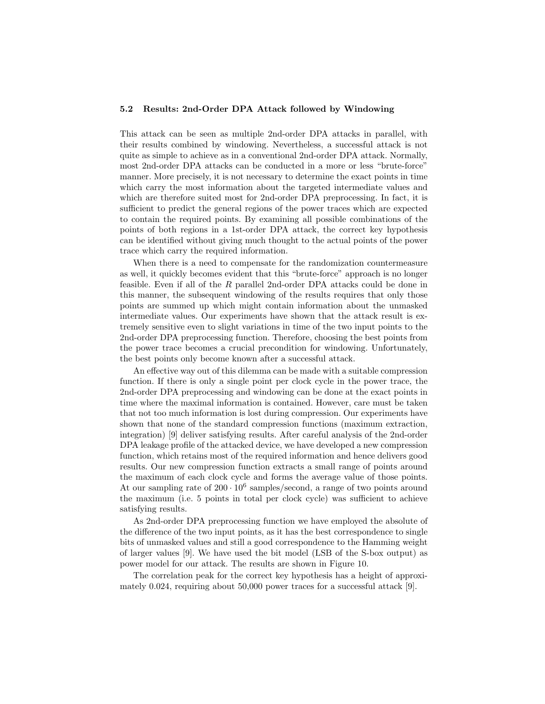#### 5.2 Results: 2nd-Order DPA Attack followed by Windowing

This attack can be seen as multiple 2nd-order DPA attacks in parallel, with their results combined by windowing. Nevertheless, a successful attack is not quite as simple to achieve as in a conventional 2nd-order DPA attack. Normally, most 2nd-order DPA attacks can be conducted in a more or less "brute-force" manner. More precisely, it is not necessary to determine the exact points in time which carry the most information about the targeted intermediate values and which are therefore suited most for 2nd-order DPA preprocessing. In fact, it is sufficient to predict the general regions of the power traces which are expected to contain the required points. By examining all possible combinations of the points of both regions in a 1st-order DPA attack, the correct key hypothesis can be identified without giving much thought to the actual points of the power trace which carry the required information.

When there is a need to compensate for the randomization countermeasure as well, it quickly becomes evident that this "brute-force" approach is no longer feasible. Even if all of the R parallel 2nd-order DPA attacks could be done in this manner, the subsequent windowing of the results requires that only those points are summed up which might contain information about the unmasked intermediate values. Our experiments have shown that the attack result is extremely sensitive even to slight variations in time of the two input points to the 2nd-order DPA preprocessing function. Therefore, choosing the best points from the power trace becomes a crucial precondition for windowing. Unfortunately, the best points only become known after a successful attack.

An effective way out of this dilemma can be made with a suitable compression function. If there is only a single point per clock cycle in the power trace, the 2nd-order DPA preprocessing and windowing can be done at the exact points in time where the maximal information is contained. However, care must be taken that not too much information is lost during compression. Our experiments have shown that none of the standard compression functions (maximum extraction, integration) [9] deliver satisfying results. After careful analysis of the 2nd-order DPA leakage profile of the attacked device, we have developed a new compression function, which retains most of the required information and hence delivers good results. Our new compression function extracts a small range of points around the maximum of each clock cycle and forms the average value of those points. At our sampling rate of  $200 \cdot 10^6$  samples/second, a range of two points around the maximum (i.e. 5 points in total per clock cycle) was sufficient to achieve satisfying results.

As 2nd-order DPA preprocessing function we have employed the absolute of the difference of the two input points, as it has the best correspondence to single bits of unmasked values and still a good correspondence to the Hamming weight of larger values [9]. We have used the bit model (LSB of the S-box output) as power model for our attack. The results are shown in Figure 10.

The correlation peak for the correct key hypothesis has a height of approximately 0.024, requiring about 50,000 power traces for a successful attack [9].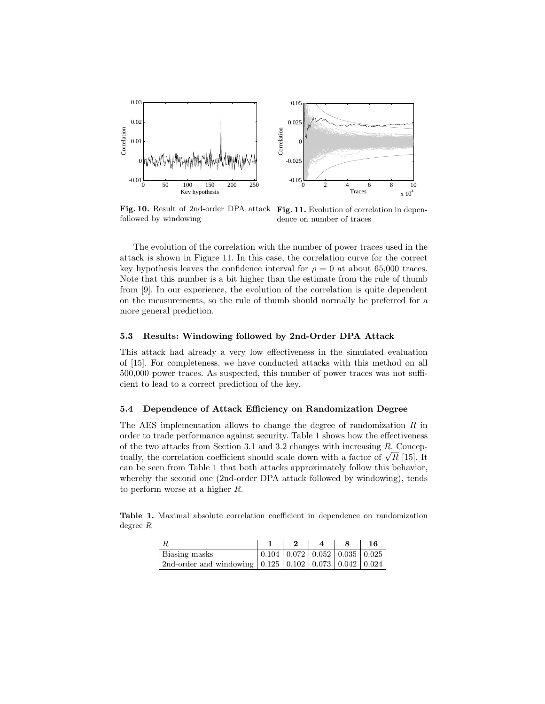

Fig. 10. Result of 2nd-order DPA attack Fig. 11. Evolution of correlation in depenfollowed by windowing

dence on number of traces

The evolution of the correlation with the number of power traces used in the attack is shown in Figure 11. In this case, the correlation curve for the correct key hypothesis leaves the confidence interval for  $\rho = 0$  at about 65,000 traces. Note that this number is a bit higher than the estimate from the rule of thumb from [9]. In our experience, the evolution of the correlation is quite dependent on the measurements, so the rule of thumb should normally be preferred for a more general prediction.

#### 5.3 Results: Windowing followed by 2nd-Order DPA Attack

This attack had already a very low effectiveness in the simulated evaluation of [15]. For completeness, we have conducted attacks with this method on all 500,000 power traces. As suspected, this number of power traces was not sufficient to lead to a correct prediction of the key.

#### 5.4 Dependence of Attack Efficiency on Randomization Degree

The AES implementation allows to change the degree of randomization  $R$  in order to trade performance against security. Table 1 shows how the effectiveness of the two attacks from Section 3.1 and 3.2 changes with increasing R. Concepor the two attacks from Section 3.1 and 3.2 changes with increasing  $R$ . Conceptually, the correlation coefficient should scale down with a factor of  $\sqrt{R}$  [15]. It can be seen from Table 1 that both attacks approximately follow this behavior, whereby the second one (2nd-order DPA attack followed by windowing), tends to perform worse at a higher R.

Table 1. Maximal absolute correlation coefficient in dependence on randomization degree R

| $\perp$ R                                                       |                                                 |  | 16 |
|-----------------------------------------------------------------|-------------------------------------------------|--|----|
| Biasing masks                                                   | $0.104$   $0.072$   $0.052$   $0.035$   $0.025$ |  |    |
| 2nd-order and windowing   0.125   0.102   0.073   0.042   0.024 |                                                 |  |    |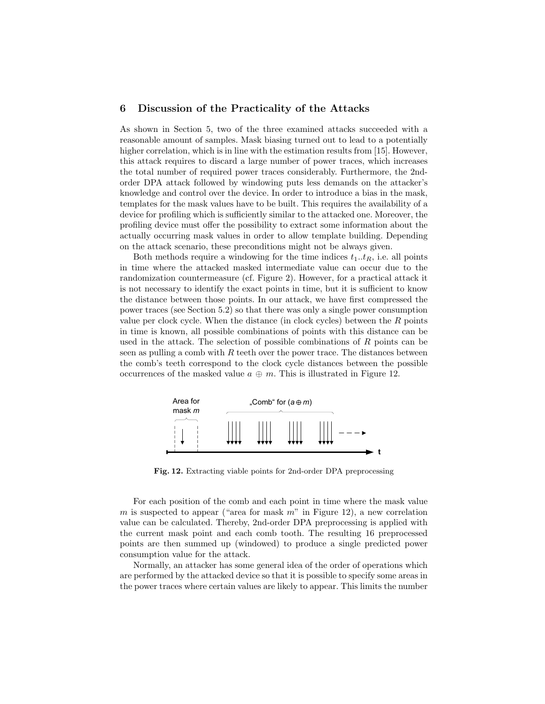## 6 Discussion of the Practicality of the Attacks

As shown in Section 5, two of the three examined attacks succeeded with a reasonable amount of samples. Mask biasing turned out to lead to a potentially higher correlation, which is in line with the estimation results from [15]. However, this attack requires to discard a large number of power traces, which increases the total number of required power traces considerably. Furthermore, the 2ndorder DPA attack followed by windowing puts less demands on the attacker's knowledge and control over the device. In order to introduce a bias in the mask, templates for the mask values have to be built. This requires the availability of a device for profiling which is sufficiently similar to the attacked one. Moreover, the profiling device must offer the possibility to extract some information about the actually occurring mask values in order to allow template building. Depending on the attack scenario, these preconditions might not be always given.

Both methods require a windowing for the time indices  $t_1..t_R$ , i.e. all points in time where the attacked masked intermediate value can occur due to the randomization countermeasure (cf. Figure 2). However, for a practical attack it is not necessary to identify the exact points in time, but it is sufficient to know the distance between those points. In our attack, we have first compressed the power traces (see Section 5.2) so that there was only a single power consumption value per clock cycle. When the distance (in clock cycles) between the  $R$  points in time is known, all possible combinations of points with this distance can be used in the attack. The selection of possible combinations of  $R$  points can be seen as pulling a comb with  $R$  teeth over the power trace. The distances between the comb's teeth correspond to the clock cycle distances between the possible occurrences of the masked value  $a \oplus m$ . This is illustrated in Figure 12.



Fig. 12. Extracting viable points for 2nd-order DPA preprocessing

For each position of the comb and each point in time where the mask value m is suspected to appear ("area for mask  $m$ " in Figure 12), a new correlation value can be calculated. Thereby, 2nd-order DPA preprocessing is applied with the current mask point and each comb tooth. The resulting 16 preprocessed points are then summed up (windowed) to produce a single predicted power consumption value for the attack.

Normally, an attacker has some general idea of the order of operations which are performed by the attacked device so that it is possible to specify some areas in the power traces where certain values are likely to appear. This limits the number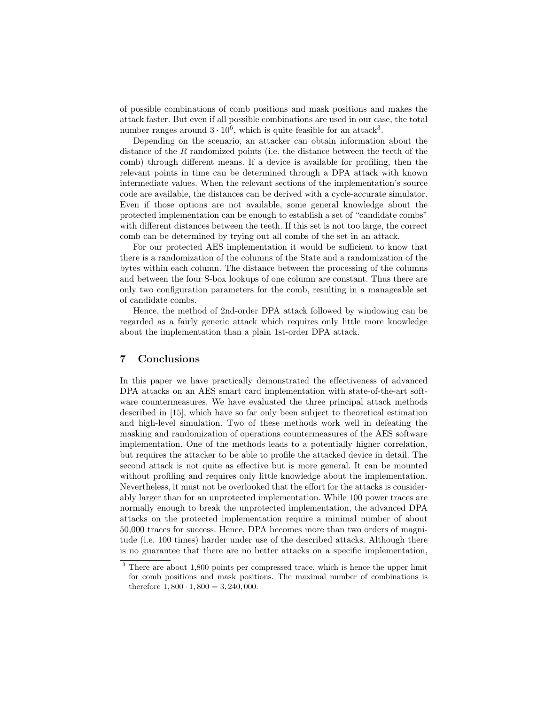of possible combinations of comb positions and mask positions and makes the attack faster. But even if all possible combinations are used in our case, the total number ranges around  $3 \cdot 10^6$ , which is quite feasible for an attack<sup>3</sup>.

Depending on the scenario, an attacker can obtain information about the distance of the  $R$  randomized points (i.e. the distance between the teeth of the comb) through different means. If a device is available for profiling, then the relevant points in time can be determined through a DPA attack with known intermediate values. When the relevant sections of the implementation's source code are available, the distances can be derived with a cycle-accurate simulator. Even if those options are not available, some general knowledge about the protected implementation can be enough to establish a set of "candidate combs" with different distances between the teeth. If this set is not too large, the correct comb can be determined by trying out all combs of the set in an attack.

For our protected AES implementation it would be sufficient to know that there is a randomization of the columns of the State and a randomization of the bytes within each column. The distance between the processing of the columns and between the four S-box lookups of one column are constant. Thus there are only two configuration parameters for the comb, resulting in a manageable set of candidate combs.

Hence, the method of 2nd-order DPA attack followed by windowing can be regarded as a fairly generic attack which requires only little more knowledge about the implementation than a plain 1st-order DPA attack.

## 7 Conclusions

In this paper we have practically demonstrated the effectiveness of advanced DPA attacks on an AES smart card implementation with state-of-the-art software countermeasures. We have evaluated the three principal attack methods described in [15], which have so far only been subject to theoretical estimation and high-level simulation. Two of these methods work well in defeating the masking and randomization of operations countermeasures of the AES software implementation. One of the methods leads to a potentially higher correlation, but requires the attacker to be able to profile the attacked device in detail. The second attack is not quite as effective but is more general. It can be mounted without profiling and requires only little knowledge about the implementation. Nevertheless, it must not be overlooked that the effort for the attacks is considerably larger than for an unprotected implementation. While 100 power traces are normally enough to break the unprotected implementation, the advanced DPA attacks on the protected implementation require a minimal number of about 50,000 traces for success. Hence, DPA becomes more than two orders of magnitude (i.e. 100 times) harder under use of the described attacks. Although there is no guarantee that there are no better attacks on a specific implementation,

<sup>3</sup> There are about 1,800 points per compressed trace, which is hence the upper limit for comb positions and mask positions. The maximal number of combinations is therefore  $1,800 \cdot 1,800 = 3,240,000$ .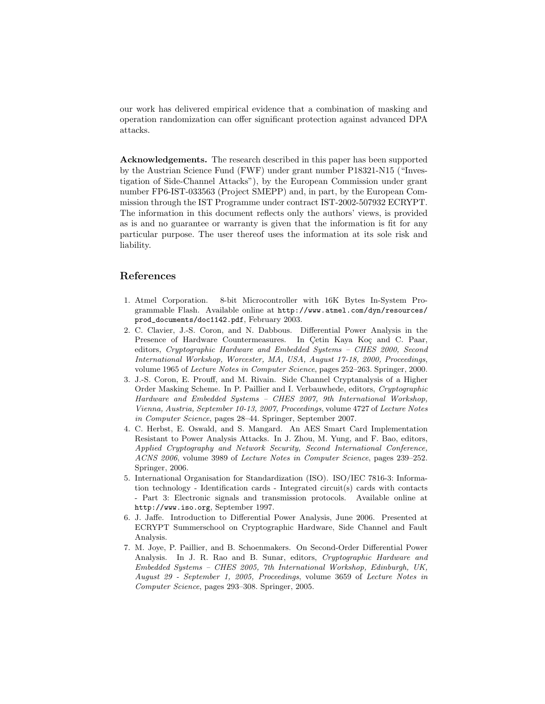our work has delivered empirical evidence that a combination of masking and operation randomization can offer significant protection against advanced DPA attacks.

Acknowledgements. The research described in this paper has been supported by the Austrian Science Fund (FWF) under grant number P18321-N15 ("Investigation of Side-Channel Attacks"), by the European Commission under grant number FP6-IST-033563 (Project SMEPP) and, in part, by the European Commission through the IST Programme under contract IST-2002-507932 ECRYPT. The information in this document reflects only the authors' views, is provided as is and no guarantee or warranty is given that the information is fit for any particular purpose. The user thereof uses the information at its sole risk and liability.

# References

- 1. Atmel Corporation. 8-bit Microcontroller with 16K Bytes In-System Programmable Flash. Available online at http://www.atmel.com/dyn/resources/ prod\_documents/doc1142.pdf, February 2003.
- 2. C. Clavier, J.-S. Coron, and N. Dabbous. Differential Power Analysis in the Presence of Hardware Countermeasures. In Cetin Kaya Koç and C. Paar, editors, Cryptographic Hardware and Embedded Systems – CHES 2000, Second International Workshop, Worcester, MA, USA, August 17-18, 2000, Proceedings, volume 1965 of Lecture Notes in Computer Science, pages 252–263. Springer, 2000.
- 3. J.-S. Coron, E. Prouff, and M. Rivain. Side Channel Cryptanalysis of a Higher Order Masking Scheme. In P. Paillier and I. Verbauwhede, editors, Cryptographic Hardware and Embedded Systems – CHES 2007, 9th International Workshop, Vienna, Austria, September 10-13, 2007, Proceedings, volume 4727 of Lecture Notes in Computer Science, pages 28–44. Springer, September 2007.
- 4. C. Herbst, E. Oswald, and S. Mangard. An AES Smart Card Implementation Resistant to Power Analysis Attacks. In J. Zhou, M. Yung, and F. Bao, editors, Applied Cryptography and Network Security, Second International Conference, ACNS 2006, volume 3989 of Lecture Notes in Computer Science, pages 239–252. Springer, 2006.
- 5. International Organisation for Standardization (ISO). ISO/IEC 7816-3: Information technology - Identification cards - Integrated circuit(s) cards with contacts - Part 3: Electronic signals and transmission protocols. Available online at http://www.iso.org, September 1997.
- 6. J. Jaffe. Introduction to Differential Power Analysis, June 2006. Presented at ECRYPT Summerschool on Cryptographic Hardware, Side Channel and Fault Analysis.
- 7. M. Joye, P. Paillier, and B. Schoenmakers. On Second-Order Differential Power Analysis. In J. R. Rao and B. Sunar, editors, Cryptographic Hardware and Embedded Systems – CHES 2005, 7th International Workshop, Edinburgh, UK, August 29 - September 1, 2005, Proceedings, volume 3659 of Lecture Notes in Computer Science, pages 293–308. Springer, 2005.